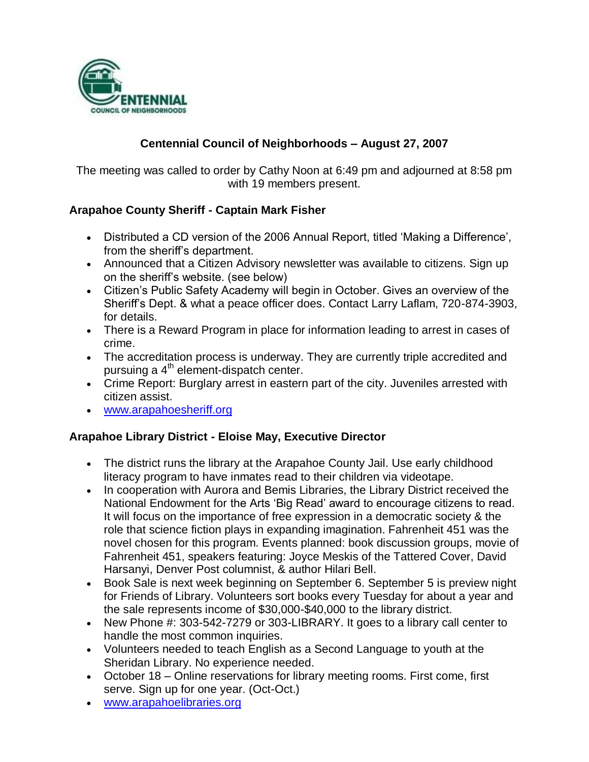

# **Centennial Council of Neighborhoods – August 27, 2007**

The meeting was called to order by Cathy Noon at 6:49 pm and adjourned at 8:58 pm with 19 members present.

## **Arapahoe County Sheriff - Captain Mark Fisher**

- Distributed a CD version of the 2006 Annual Report, titled 'Making a Difference', from the sheriff's department.
- Announced that a Citizen Advisory newsletter was available to citizens. Sign up on the sheriff's website. (see below)
- Citizen's Public Safety Academy will begin in October. Gives an overview of the Sheriff's Dept. & what a peace officer does. Contact Larry Laflam, 720-874-3903, for details.
- There is a Reward Program in place for information leading to arrest in cases of crime.
- The accreditation process is underway. They are currently triple accredited and pursuing a  $4<sup>th</sup>$  element-dispatch center.
- Crime Report: Burglary arrest in eastern part of the city. Juveniles arrested with citizen assist.
- [www.arapahoesheriff.org](http://www.arapahoesheriff.org/)

## **Arapahoe Library District - Eloise May, Executive Director**

- The district runs the library at the Arapahoe County Jail. Use early childhood literacy program to have inmates read to their children via videotape.
- In cooperation with Aurora and Bemis Libraries, the Library District received the National Endowment for the Arts 'Big Read' award to encourage citizens to read. It will focus on the importance of free expression in a democratic society & the role that science fiction plays in expanding imagination. Fahrenheit 451 was the novel chosen for this program. Events planned: book discussion groups, movie of Fahrenheit 451, speakers featuring: Joyce Meskis of the Tattered Cover, David Harsanyi, Denver Post columnist, & author Hilari Bell.
- Book Sale is next week beginning on September 6. September 5 is preview night for Friends of Library. Volunteers sort books every Tuesday for about a year and the sale represents income of \$30,000-\$40,000 to the library district.
- New Phone #: 303-542-7279 or 303-LIBRARY. It goes to a library call center to handle the most common inquiries.
- Volunteers needed to teach English as a Second Language to youth at the Sheridan Library. No experience needed.
- October 18 Online reservations for library meeting rooms. First come, first serve. Sign up for one year. (Oct-Oct.)
- [www.arapahoelibraries.org](http://www.arapahoelibraries.org/)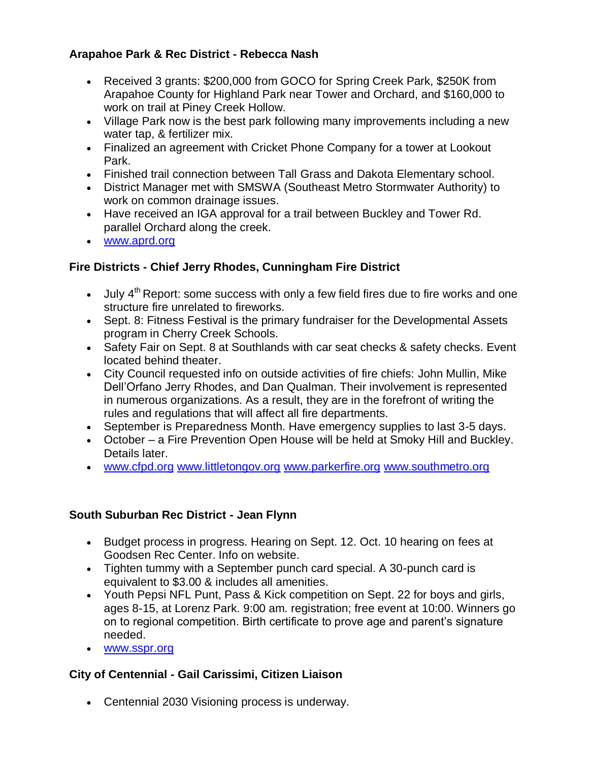# **Arapahoe Park & Rec District - Rebecca Nash**

- Received 3 grants: \$200,000 from GOCO for Spring Creek Park, \$250K from Arapahoe County for Highland Park near Tower and Orchard, and \$160,000 to work on trail at Piney Creek Hollow.
- Village Park now is the best park following many improvements including a new water tap, & fertilizer mix.
- Finalized an agreement with Cricket Phone Company for a tower at Lookout Park.
- Finished trail connection between Tall Grass and Dakota Elementary school.
- District Manager met with SMSWA (Southeast Metro Stormwater Authority) to work on common drainage issues.
- Have received an IGA approval for a trail between Buckley and Tower Rd. parallel Orchard along the creek.
- [www.aprd.org](http://www.aprd.org/)

## **Fire Districts - Chief Jerry Rhodes, Cunningham Fire District**

- $\bullet$  July 4<sup>th</sup> Report: some success with only a few field fires due to fire works and one structure fire unrelated to fireworks.
- Sept. 8: Fitness Festival is the primary fundraiser for the Developmental Assets program in Cherry Creek Schools.
- Safety Fair on Sept. 8 at Southlands with car seat checks & safety checks. Event located behind theater.
- City Council requested info on outside activities of fire chiefs: John Mullin, Mike Dell'Orfano Jerry Rhodes, and Dan Qualman. Their involvement is represented in numerous organizations. As a result, they are in the forefront of writing the rules and regulations that will affect all fire departments.
- September is Preparedness Month. Have emergency supplies to last 3-5 days.
- October a Fire Prevention Open House will be held at Smoky Hill and Buckley. Details later.
- [www.cfpd.org](http://www.cfpd.org/) [www.littletongov.org](http://www.littletongov.org/) [www.parkerfire.org](http://www.parkerfire.org/) [www.southmetro.org](http://www.southmetro.org/)

## **South Suburban Rec District - Jean Flynn**

- Budget process in progress. Hearing on Sept. 12. Oct. 10 hearing on fees at Goodsen Rec Center. Info on website.
- Tighten tummy with a September punch card special. A 30-punch card is equivalent to \$3.00 & includes all amenities.
- Youth Pepsi NFL Punt, Pass & Kick competition on Sept. 22 for boys and girls, ages 8-15, at Lorenz Park. 9:00 am. registration; free event at 10:00. Winners go on to regional competition. Birth certificate to prove age and parent's signature needed.
- [www.sspr.org](http://www.sspr.org/)

# **City of Centennial - Gail Carissimi, Citizen Liaison**

Centennial 2030 Visioning process is underway.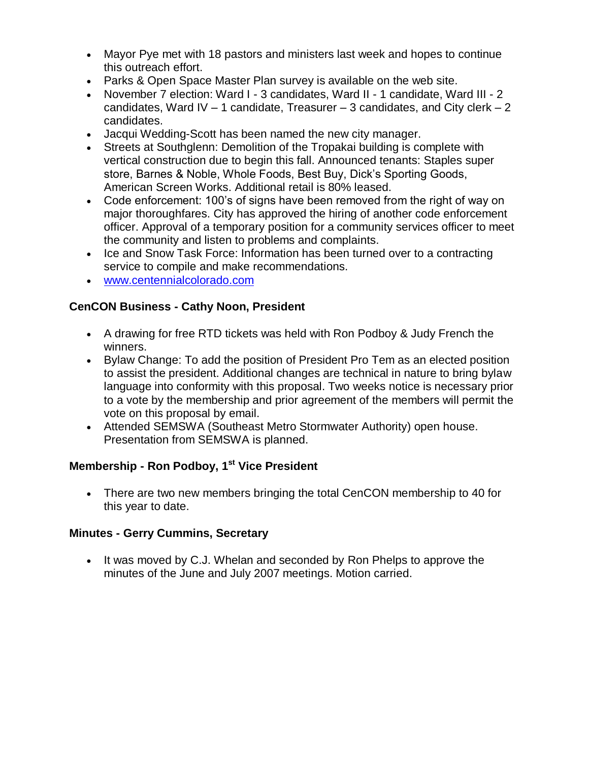- Mayor Pye met with 18 pastors and ministers last week and hopes to continue this outreach effort.
- Parks & Open Space Master Plan survey is available on the web site.
- November 7 election: Ward I 3 candidates, Ward II 1 candidate, Ward III 2 candidates, Ward IV – 1 candidate, Treasurer – 3 candidates, and City clerk – 2 candidates.
- Jacqui Wedding-Scott has been named the new city manager.
- Streets at Southglenn: Demolition of the Tropakai building is complete with vertical construction due to begin this fall. Announced tenants: Staples super store, Barnes & Noble, Whole Foods, Best Buy, Dick's Sporting Goods, American Screen Works. Additional retail is 80% leased.
- Code enforcement: 100's of signs have been removed from the right of way on major thoroughfares. City has approved the hiring of another code enforcement officer. Approval of a temporary position for a community services officer to meet the community and listen to problems and complaints.
- Ice and Snow Task Force: Information has been turned over to a contracting service to compile and make recommendations.
- [www.centennialcolorado.com](http://www.centennialcolorado.com/)

### **CenCON Business - Cathy Noon, President**

- A drawing for free RTD tickets was held with Ron Podboy & Judy French the winners.
- Bylaw Change: To add the position of President Pro Tem as an elected position to assist the president. Additional changes are technical in nature to bring bylaw language into conformity with this proposal. Two weeks notice is necessary prior to a vote by the membership and prior agreement of the members will permit the vote on this proposal by email.
- Attended SEMSWA (Southeast Metro Stormwater Authority) open house. Presentation from SEMSWA is planned.

## **Membership - Ron Podboy, 1st Vice President**

 There are two new members bringing the total CenCON membership to 40 for this year to date.

#### **Minutes - Gerry Cummins, Secretary**

• It was moved by C.J. Whelan and seconded by Ron Phelps to approve the minutes of the June and July 2007 meetings. Motion carried.